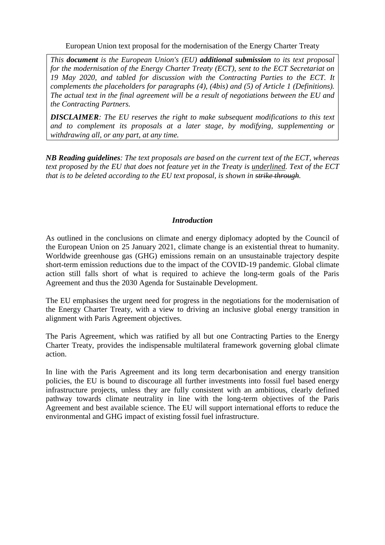European Union text proposal for the modernisation of the Energy Charter Treaty

*This document is the European Union's (EU) additional submission to its text proposal for the modernisation of the Energy Charter Treaty (ECT), sent to the ECT Secretariat on 19 May 2020, and tabled for discussion with the Contracting Parties to the ECT. It complements the placeholders for paragraphs (4), (4bis) and (5) of Article 1 (Definitions). The actual text in the final agreement will be a result of negotiations between the EU and the Contracting Partners.*

*DISCLAIMER: The EU reserves the right to make subsequent modifications to this text and to complement its proposals at a later stage, by modifying, supplementing or withdrawing all, or any part, at any time.*

*NB Reading guidelines: The text proposals are based on the current text of the ECT, whereas* text proposed by the EU that does not feature yet in the Treaty is underlined. Text of the ECT *that is to be deleted according to the EU text proposal, is shown in strike through.*

## *Introduction*

As outlined in the conclusions on climate and energy diplomacy adopted by the Council of the European Union on 25 January 2021, climate change is an existential threat to humanity. Worldwide greenhouse gas (GHG) emissions remain on an unsustainable trajectory despite short-term emission reductions due to the impact of the COVID-19 pandemic. Global climate action still falls short of what is required to achieve the long-term goals of the Paris Agreement and thus the 2030 Agenda for Sustainable Development.

The EU emphasises the urgent need for progress in the negotiations for the modernisation of the Energy Charter Treaty, with a view to driving an inclusive global energy transition in alignment with Paris Agreement objectives.

The Paris Agreement, which was ratified by all but one Contracting Parties to the Energy Charter Treaty, provides the indispensable multilateral framework governing global climate action.

In line with the Paris Agreement and its long term decarbonisation and energy transition policies, the EU is bound to discourage all further investments into fossil fuel based energy infrastructure projects, unless they are fully consistent with an ambitious, clearly defined pathway towards climate neutrality in line with the long-term objectives of the Paris Agreement and best available science. The EU will support international efforts to reduce the environmental and GHG impact of existing fossil fuel infrastructure.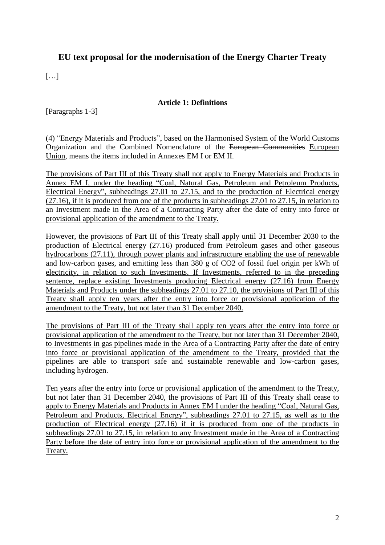## **EU text proposal for the modernisation of the Energy Charter Treaty**

 $\lceil$ ...]

## **Article 1: Definitions**

[Paragraphs 1-3]

(4) "Energy Materials and Products", based on the Harmonised System of the World Customs Organization and the Combined Nomenclature of the European Communities European Union, means the items included in Annexes EM I or EM II.

The provisions of Part III of this Treaty shall not apply to Energy Materials and Products in Annex EM I, under the heading "Coal, Natural Gas, Petroleum and Petroleum Products, Electrical Energy", subheadings 27.01 to 27.15, and to the production of Electrical energy (27.16), if it is produced from one of the products in subheadings 27.01 to 27.15, in relation to an Investment made in the Area of a Contracting Party after the date of entry into force or provisional application of the amendment to the Treaty.

However, the provisions of Part III of this Treaty shall apply until 31 December 2030 to the production of Electrical energy (27.16) produced from Petroleum gases and other gaseous hydrocarbons (27.11), through power plants and infrastructure enabling the use of renewable and low-carbon gases, and emitting less than 380 g of CO2 of fossil fuel origin per kWh of electricity, in relation to such Investments. If Investments, referred to in the preceding sentence, replace existing Investments producing Electrical energy (27.16) from Energy Materials and Products under the subheadings 27.01 to 27.10, the provisions of Part III of this Treaty shall apply ten years after the entry into force or provisional application of the amendment to the Treaty, but not later than 31 December 2040.

The provisions of Part III of the Treaty shall apply ten years after the entry into force or provisional application of the amendment to the Treaty, but not later than 31 December 2040, to Investments in gas pipelines made in the Area of a Contracting Party after the date of entry into force or provisional application of the amendment to the Treaty, provided that the pipelines are able to transport safe and sustainable renewable and low-carbon gases, including hydrogen.

Ten years after the entry into force or provisional application of the amendment to the Treaty, but not later than 31 December 2040, the provisions of Part III of this Treaty shall cease to apply to Energy Materials and Products in Annex EM I under the heading "Coal, Natural Gas, Petroleum and Products, Electrical Energy", subheadings 27.01 to 27.15, as well as to the production of Electrical energy (27.16) if it is produced from one of the products in subheadings 27.01 to 27.15, in relation to any Investment made in the Area of a Contracting Party before the date of entry into force or provisional application of the amendment to the Treaty.